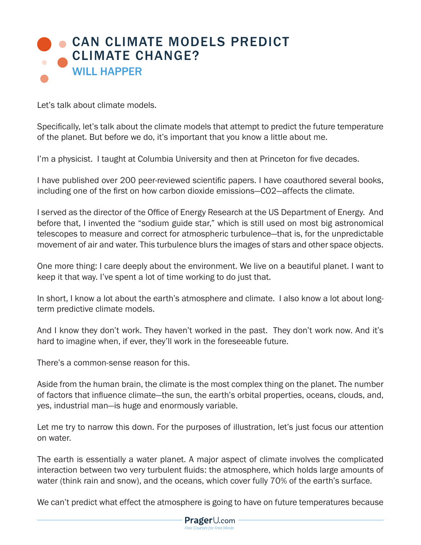## **CAN CLIMATE MODELS PREDICT** CLIMATE CHANGE? WILL HAPPER

Let's talk about climate models.

Specifically, let's talk about the climate models that attempt to predict the future temperature of the planet. But before we do, it's important that you know a little about me.

I'm a physicist. I taught at Columbia University and then at Princeton for five decades.

I have published over 200 peer-reviewed scientific papers. I have coauthored several books, including one of the first on how carbon dioxide emissions—CO2—affects the climate.

I served as the director of the Office of Energy Research at the US Department of Energy. And before that, I invented the "sodium guide star," which is still used on most big astronomical telescopes to measure and correct for atmospheric turbulence—that is, for the unpredictable movement of air and water. This turbulence blurs the images of stars and other space objects.

One more thing: I care deeply about the environment. We live on a beautiful planet. I want to keep it that way. I've spent a lot of time working to do just that.

In short, I know a lot about the earth's atmosphere and climate. I also know a lot about longterm predictive climate models.

And I know they don't work. They haven't worked in the past. They don't work now. And it's hard to imagine when, if ever, they'll work in the foreseeable future.

There's a common-sense reason for this.

Aside from the human brain, the climate is the most complex thing on the planet. The number of factors that influence climate—the sun, the earth's orbital properties, oceans, clouds, and, yes, industrial man—is huge and enormously variable.

Let me try to narrow this down. For the purposes of illustration, let's just focus our attention on water.

The earth is essentially a water planet. A major aspect of climate involves the complicated interaction between two very turbulent fluids: the atmosphere, which holds large amounts of water (think rain and snow), and the oceans, which cover fully 70% of the earth's surface.

We can't predict what effect the atmosphere is going to have on future temperatures because